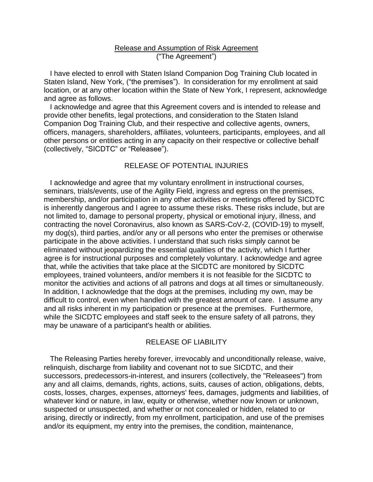### Release and Assumption of Risk Agreement ("The Agreement")

 I have elected to enroll with Staten Island Companion Dog Training Club located in Staten Island, New York, ("the premises"). In consideration for my enrollment at said location, or at any other location within the State of New York, I represent, acknowledge and agree as follows.

 I acknowledge and agree that this Agreement covers and is intended to release and provide other benefits, legal protections, and consideration to the Staten Island Companion Dog Training Club, and their respective and collective agents, owners, officers, managers, shareholders, affiliates, volunteers, participants, employees, and all other persons or entities acting in any capacity on their respective or collective behalf (collectively, "SICDTC" or "Releasee").

### RELEASE OF POTENTIAL INJURIES

 I acknowledge and agree that my voluntary enrollment in instructional courses, seminars, trials/events, use of the Agility Field, ingress and egress on the premises, membership, and/or participation in any other activities or meetings offered by SICDTC is inherently dangerous and I agree to assume these risks. These risks include, but are not limited to, damage to personal property, physical or emotional injury, illness, and contracting the novel Coronavirus, also known as SARS-CoV-2, (COVID-19) to myself, my dog(s), third parties, and/or any or all persons who enter the premises or otherwise participate in the above activities. I understand that such risks simply cannot be eliminated without jeopardizing the essential qualities of the activity, which I further agree is for instructional purposes and completely voluntary. I acknowledge and agree that, while the activities that take place at the SICDTC are monitored by SICDTC employees, trained volunteers, and/or members it is not feasible for the SICDTC to monitor the activities and actions of all patrons and dogs at all times or simultaneously. In addition, I acknowledge that the dogs at the premises, including my own, may be difficult to control, even when handled with the greatest amount of care. I assume any and all risks inherent in my participation or presence at the premises. Furthermore, while the SICDTC employees and staff seek to the ensure safety of all patrons, they may be unaware of a participant's health or abilities.

#### RELEASE OF LIABILITY

 The Releasing Parties hereby forever, irrevocably and unconditionally release, waive, relinquish, discharge from liability and covenant not to sue SICDTC, and their successors, predecessors-in-interest, and insurers (collectively, the "Releasees") from any and all claims, demands, rights, actions, suits, causes of action, obligations, debts, costs, losses, charges, expenses, attorneys' fees, damages, judgments and liabilities, of whatever kind or nature, in law, equity or otherwise, whether now known or unknown, suspected or unsuspected, and whether or not concealed or hidden, related to or arising, directly or indirectly, from my enrollment, participation, and use of the premises and/or its equipment, my entry into the premises, the condition, maintenance,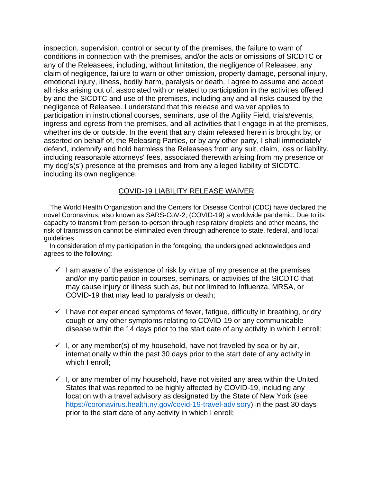inspection, supervision, control or security of the premises, the failure to warn of conditions in connection with the premises, and/or the acts or omissions of SICDTC or any of the Releasees, including, without limitation, the negligence of Releasee, any claim of negligence, failure to warn or other omission, property damage, personal injury, emotional injury, illness, bodily harm, paralysis or death. I agree to assume and accept all risks arising out of, associated with or related to participation in the activities offered by and the SICDTC and use of the premises, including any and all risks caused by the negligence of Releasee. I understand that this release and waiver applies to participation in instructional courses, seminars, use of the Agility Field, trials/events, ingress and egress from the premises, and all activities that I engage in at the premises, whether inside or outside. In the event that any claim released herein is brought by, or asserted on behalf of, the Releasing Parties, or by any other party, I shall immediately defend, indemnify and hold harmless the Releasees from any suit, claim, loss or liability, including reasonable attorneys' fees, associated therewith arising from my presence or my dog's(s') presence at the premises and from any alleged liability of SICDTC, including its own negligence.

## COVID-19 LIABILITY RELEASE WAIVER

 The World Health Organization and the Centers for Disease Control (CDC) have declared the novel Coronavirus, also known as SARS-CoV-2, (COVID-19) a worldwide pandemic. Due to its capacity to transmit from person-to-person through respiratory droplets and other means, the risk of transmission cannot be eliminated even through adherence to state, federal, and local guidelines.

 In consideration of my participation in the foregoing, the undersigned acknowledges and agrees to the following:

- $\checkmark$  I am aware of the existence of risk by virtue of my presence at the premises and/or my participation in courses, seminars, or activities of the SICDTC that may cause injury or illness such as, but not limited to Influenza, MRSA, or COVID-19 that may lead to paralysis or death;
- $\checkmark$  I have not experienced symptoms of fever, fatigue, difficulty in breathing, or dry cough or any other symptoms relating to COVID-19 or any communicable disease within the 14 days prior to the start date of any activity in which I enroll;
- $\checkmark$  I, or any member(s) of my household, have not traveled by sea or by air, internationally within the past 30 days prior to the start date of any activity in which I enroll;
- $\checkmark$  I, or any member of my household, have not visited any area within the United States that was reported to be highly affected by COVID-19, including any location with a travel advisory as designated by the State of New York (see [https://coronavirus.health.ny.gov/covid-19-travel-advisory\)](about:blank) in the past 30 days prior to the start date of any activity in which I enroll;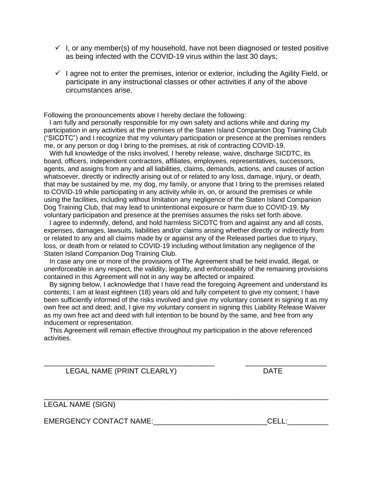- $\checkmark$  I, or any member(s) of my household, have not been diagnosed or tested positive as being infected with the COVID-19 virus within the last 30 days;
- $\checkmark$  I agree not to enter the premises, interior or exterior, including the Agility Field, or participate in any instructional classes or other activities if any of the above circumstances arise.

Following the pronouncements above I hereby declare the following:

 I am fully and personally responsible for my own safety and actions while and during my participation in any activities at the premises of the Staten Island Companion Dog Training Club ("SICDTC") and I recognize that my voluntary participation or presence at the premises renders me, or any person or dog I bring to the premises, at risk of contracting COVID-19.

 With full knowledge of the risks involved, I hereby release, waive, discharge SICDTC, its board, officers, independent contractors, affiliates, employees, representatives, successors, agents, and assigns from any and all liabilities, claims, demands, actions, and causes of action whatsoever, directly or indirectly arising out of or related to any loss, damage, injury, or death, that may be sustained by me, my dog, my family, or anyone that I bring to the premises related to COVID-19 while participating in any activity while in, on, or around the premises or while using the facilities, including without limitation any negligence of the Staten Island Companion Dog Training Club, that may lead to unintentional exposure or harm due to COVID-19. My voluntary participation and presence at the premises assumes the risks set forth above.

 I agree to indemnify, defend, and hold harmless SICDTC from and against any and all costs, expenses, damages, lawsuits, liabilities and/or claims arising whether directly or indirectly from or related to any and all claims made by or against any of the Released parties due to injury, loss, or death from or related to COVID-19 including without limitation any negligence of the Staten Island Companion Dog Training Club.

 In case any one or more of the provisions of The Agreement shall be held invalid, illegal, or unenforceable in any respect, the validity, legality, and enforceability of the remaining provisions contained in this Agreement will not in any way be affected or impaired.

 By signing below, I acknowledge that I have read the foregoing Agreement and understand its contents; I am at least eighteen (18) years old and fully competent to give my consent; I have been sufficiently informed of the risks involved and give my voluntary consent in signing it as my own free act and deed; and, I give my voluntary consent in signing this Liability Release Waiver as my own free act and deed with full intention to be bound by the same, and free from any inducement or representation.

 This Agreement will remain effective throughout my participation in the above referenced activities.

\_\_\_\_\_\_\_\_\_\_\_\_\_\_\_\_\_\_\_\_\_\_\_\_\_\_\_\_\_\_\_\_\_\_\_\_\_\_\_\_\_\_ \_\_\_\_\_\_\_\_\_\_\_\_\_\_\_\_\_\_\_\_

\_\_\_\_\_\_\_\_\_\_\_\_\_\_\_\_\_\_\_\_\_\_\_\_\_\_\_\_\_\_\_\_\_\_\_\_\_\_\_\_\_\_\_\_\_\_\_\_\_\_\_\_\_\_\_\_\_\_\_\_\_\_\_\_\_\_\_\_\_\_

LEGAL NAME (PRINT CLEARLY) DATE

LEGAL NAME (SIGN)

EMERGENCY CONTACT NAME: The contract of the cell: the cell of the cell of the cell of the cell of the cell of the cell of the cell of the cell of the cell of the cell of the cell of the cell of the cell of the cell of the